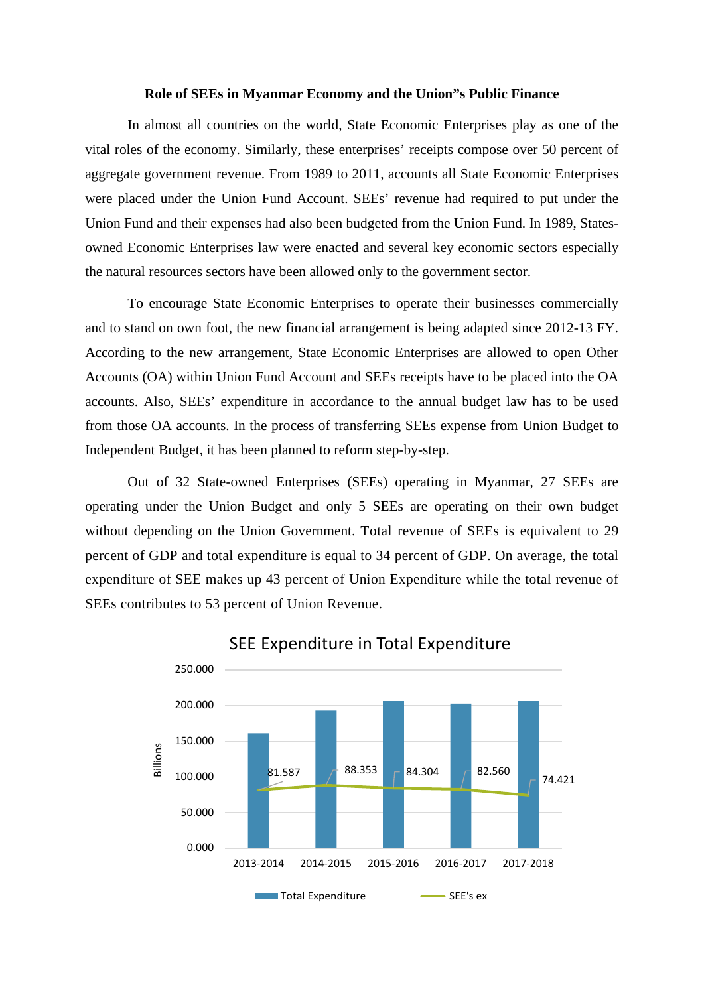## **Role of SEEs in Myanmar Economy and the Union"s Public Finance**

In almost all countries on the world, State Economic Enterprises play as one of the vital roles of the economy. Similarly, these enterprises' receipts compose over 50 percent of aggregate government revenue. From 1989 to 2011, accounts all State Economic Enterprises were placed under the Union Fund Account. SEEs' revenue had required to put under the Union Fund and their expenses had also been budgeted from the Union Fund. In 1989, Statesowned Economic Enterprises law were enacted and several key economic sectors especially the natural resources sectors have been allowed only to the government sector.

To encourage State Economic Enterprises to operate their businesses commercially and to stand on own foot, the new financial arrangement is being adapted since 2012-13 FY. According to the new arrangement, State Economic Enterprises are allowed to open Other Accounts (OA) within Union Fund Account and SEEs receipts have to be placed into the OA accounts. Also, SEEs' expenditure in accordance to the annual budget law has to be used from those OA accounts. In the process of transferring SEEs expense from Union Budget to Independent Budget, it has been planned to reform step-by-step.

Out of 32 State-owned Enterprises (SEEs) operating in Myanmar, 27 SEEs are operating under the Union Budget and only 5 SEEs are operating on their own budget without depending on the Union Government. Total revenue of SEEs is equivalent to 29 percent of GDP and total expenditure is equal to 34 percent of GDP. On average, the total expenditure of SEE makes up 43 percent of Union Expenditure while the total revenue of SEEs contributes to 53 percent of Union Revenue.



SEE Expenditure in Total Expenditure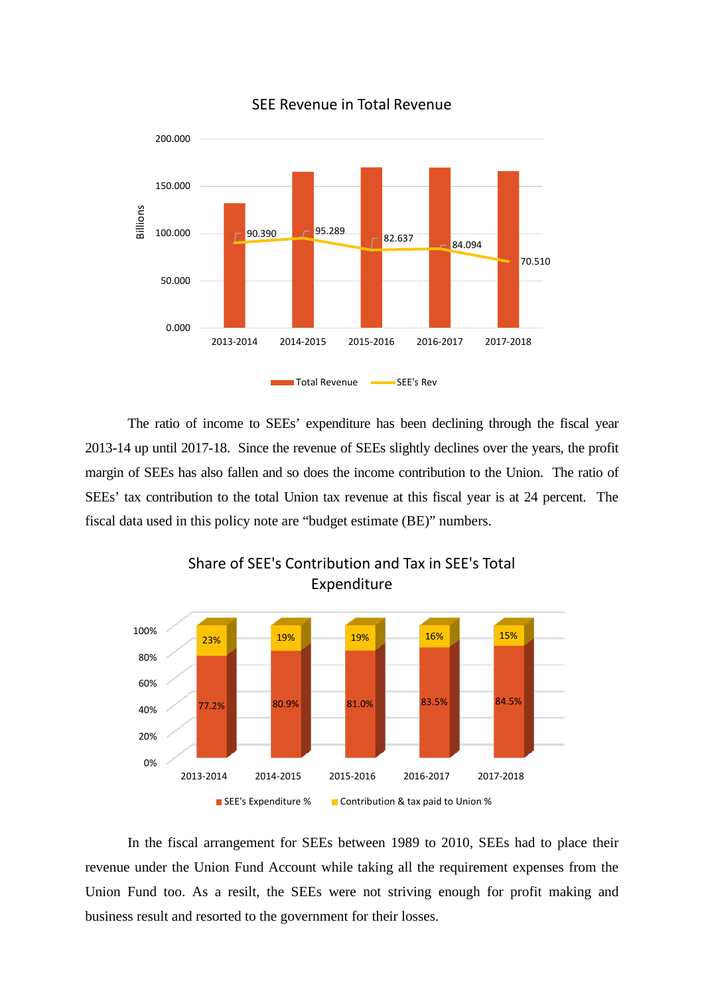

SEE Revenue in Total Revenue

The ratio of income to SEEs' expenditure has been declining through the fiscal year 2013-14 up until 2017-18. Since the revenue of SEEs slightly declines over the years, the profit margin of SEEs has also fallen and so does the income contribution to the Union. The ratio of SEEs' tax contribution to the total Union tax revenue at this fiscal year is at 24 percent. The fiscal data used in this policy note are "budget estimate (BE)" numbers.



Share of SEE's Contribution and Tax in SEE's Total Expenditure

In the fiscal arrangement for SEEs between 1989 to 2010, SEEs had to place their revenue under the Union Fund Account while taking all the requirement expenses from the Union Fund too. As a resilt, the SEEs were not striving enough for profit making and business result and resorted to the government for their losses.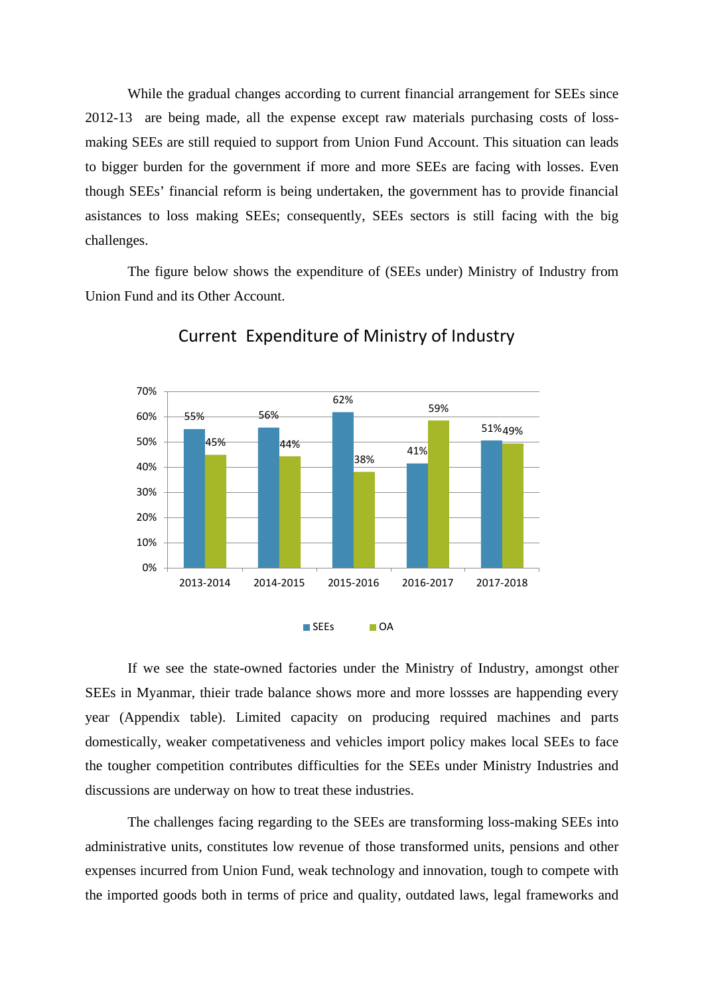While the gradual changes according to current financial arrangement for SEEs since 2012-13 are being made, all the expense except raw materials purchasing costs of lossmaking SEEs are still requied to support from Union Fund Account. This situation can leads to bigger burden for the government if more and more SEEs are facing with losses. Even though SEEs' financial reform is being undertaken, the government has to provide financial asistances to loss making SEEs; consequently, SEEs sectors is still facing with the big challenges.

The figure below shows the expenditure of (SEEs under) Ministry of Industry from Union Fund and its Other Account.



Current Expenditure of Ministry of Industry

If we see the state-owned factories under the Ministry of Industry, amongst other SEEs in Myanmar, thieir trade balance shows more and more lossses are happending every year (Appendix table). Limited capacity on producing required machines and parts domestically, weaker competativeness and vehicles import policy makes local SEEs to face the tougher competition contributes difficulties for the SEEs under Ministry Industries and discussions are underway on how to treat these industries.

The challenges facing regarding to the SEEs are transforming loss-making SEEs into administrative units, constitutes low revenue of those transformed units, pensions and other expenses incurred from Union Fund, weak technology and innovation, tough to compete with the imported goods both in terms of price and quality, outdated laws, legal frameworks and